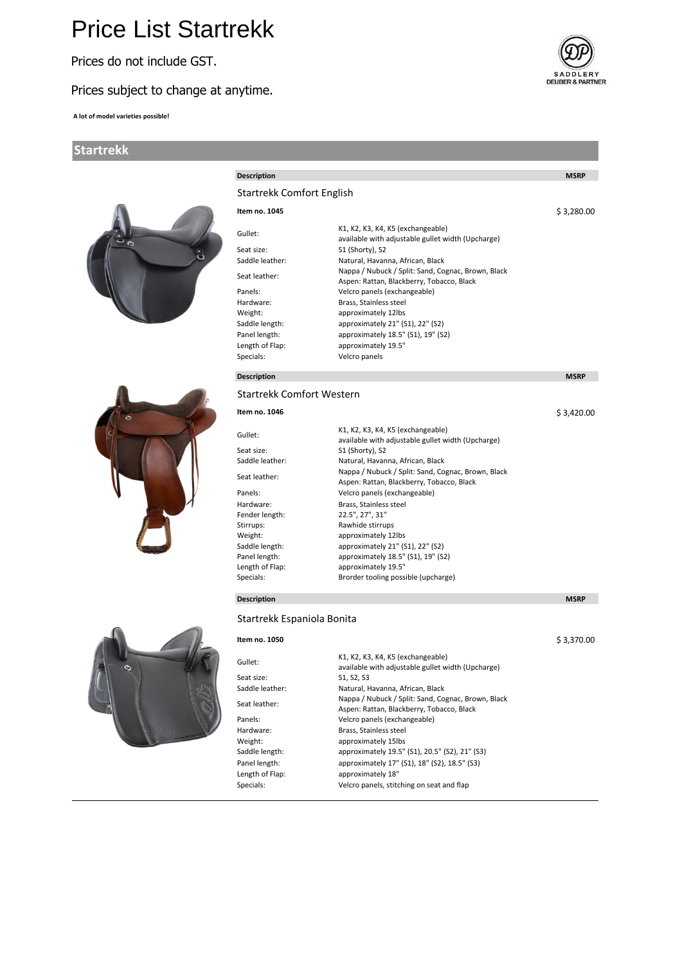# Price List Startrekk

Prices do not include GST.

## Prices subject to change at anytime.

**A lot of model varieties possible!**

### **Startrekk**



| <b>Description</b>               |                                                                                                 | <b>MSRP</b> |
|----------------------------------|-------------------------------------------------------------------------------------------------|-------------|
|                                  |                                                                                                 |             |
| <b>Startrekk Comfort English</b> |                                                                                                 |             |
| Item no. 1045                    |                                                                                                 | \$3.280.00  |
| Gullet:                          | K1, K2, K3, K4, K5 (exchangeable)                                                               |             |
| Seat size:                       | available with adjustable gullet width (Upcharge)<br>S1 (Shorty), S2                            |             |
| Saddle leather:                  | Natural, Havanna, African, Black                                                                |             |
| Seat leather:                    | Nappa / Nubuck / Split: Sand, Cognac, Brown, Black                                              |             |
|                                  | Aspen: Rattan, Blackberry, Tobacco, Black                                                       |             |
| Panels:                          | Velcro panels (exchangeable)                                                                    |             |
| Hardware:<br>Weight:             | Brass, Stainless steel<br>approximately 12lbs                                                   |             |
| Saddle length:                   | approximately 21" (S1), 22" (S2)                                                                |             |
| Panel length:                    | approximately 18.5" (S1), 19" (S2)                                                              |             |
| Length of Flap:                  | approximately 19.5"                                                                             |             |
| Specials:                        | Velcro panels                                                                                   |             |
| <b>Description</b>               |                                                                                                 | <b>MSRP</b> |
| <b>Startrekk Comfort Western</b> |                                                                                                 |             |
| Item no. 1046                    |                                                                                                 | \$3,420.00  |
|                                  |                                                                                                 |             |
| Gullet:                          | K1, K2, K3, K4, K5 (exchangeable)<br>available with adjustable gullet width (Upcharge)          |             |
| Seat size:                       | S1 (Shorty), S2                                                                                 |             |
| Saddle leather:                  | Natural, Havanna, African, Black                                                                |             |
| Seat leather:                    | Nappa / Nubuck / Split: Sand, Cognac, Brown, Black<br>Aspen: Rattan, Blackberry, Tobacco, Black |             |
| Panels:                          | Velcro panels (exchangeable)                                                                    |             |
| Hardware:                        | Brass, Stainless steel                                                                          |             |
| Fender length:                   | 22.5", 27", 31"                                                                                 |             |
| Stirrups:                        | Rawhide stirrups                                                                                |             |
| Weight:<br>Saddle length:        | approximately 12lbs<br>approximately 21" (S1), 22" (S2)                                         |             |
| Panel length:                    | approximately 18.5" (S1), 19" (S2)                                                              |             |
| Length of Flap:                  | approximately 19.5"                                                                             |             |
| Specials:                        | Brorder tooling possible (upcharge)                                                             |             |
| <b>Description</b>               |                                                                                                 | <b>MSRP</b> |
| Startrekk Espaniola Bonita       |                                                                                                 |             |
| Item no. 1050                    |                                                                                                 | \$3.370.00  |
|                                  |                                                                                                 |             |
| Gullet:                          | K1, K2, K3, K4, K5 (exchangeable)<br>available with adjustable gullet width (Upcharge)          |             |
| Seat size:                       | S1, S2, S3                                                                                      |             |
| Saddle leather:                  | Natural, Havanna, African, Black                                                                |             |
| Seat leather:                    | Nappa / Nubuck / Split: Sand, Cognac, Brown, Black                                              |             |
|                                  | Aspen: Rattan, Blackberry, Tobacco, Black                                                       |             |
| Panels:                          | Velcro panels (exchangeable)                                                                    |             |
| Hardware:                        | Brass, Stainless steel                                                                          |             |
| Weight:<br>Saddle length:        | approximately 15lbs<br>approximately 19.5" (S1), 20.5" (S2), 21" (S3)                           |             |
| Panel length:                    | approximately 17" (S1), 18" (S2), 18.5" (S3)                                                    |             |

SADDLERY<br>DEUBER & PARTNER

approximately 17" (S1), 18" (S2), 18.5" (S3)

Velcro panels, stitching on seat and flap

Length of Flap: approximately 18"<br>Specials: Velcro panels, stitc

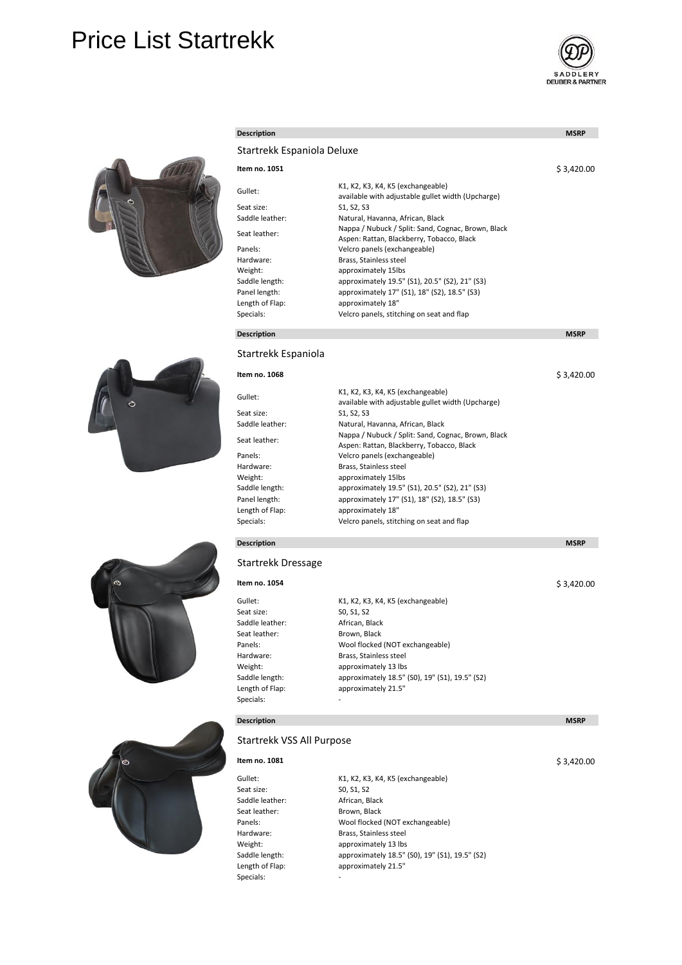# Price List Startrekk





| <b>Description</b>         |                                                                                                 | <b>MSRP</b> |
|----------------------------|-------------------------------------------------------------------------------------------------|-------------|
| Startrekk Espaniola Deluxe |                                                                                                 |             |
| Item no. 1051              |                                                                                                 | \$3,420.00  |
| Gullet:                    | K1, K2, K3, K4, K5 (exchangeable)<br>available with adjustable gullet width (Upcharge)          |             |
| Seat size:                 | S1, S2, S3                                                                                      |             |
| Saddle leather:            | Natural, Havanna, African, Black                                                                |             |
| Seat leather:              | Nappa / Nubuck / Split: Sand, Cognac, Brown, Black<br>Aspen: Rattan, Blackberry, Tobacco, Black |             |
| Panels:                    | Velcro panels (exchangeable)                                                                    |             |
| Hardware:                  | Brass, Stainless steel                                                                          |             |
| Weight:                    | approximately 15lbs                                                                             |             |
| Saddle length:             | approximately 19.5" (S1), 20.5" (S2), 21" (S3)                                                  |             |
| Panel length:              | approximately 17" (S1), 18" (S2), 18.5" (S3)                                                    |             |
| Length of Flap:            | approximately 18"                                                                               |             |
| Specials:                  | Velcro panels, stitching on seat and flap                                                       |             |
| <b>Description</b>         |                                                                                                 | <b>MSRP</b> |

### Startrekk Espaniola

| Item no. 1068   |                                                                                                 | \$3.420.00 |
|-----------------|-------------------------------------------------------------------------------------------------|------------|
| Gullet:         | K1, K2, K3, K4, K5 (exchangeable)<br>available with adjustable gullet width (Upcharge)          |            |
| Seat size:      | S1, S2, S3                                                                                      |            |
| Saddle leather: | Natural, Havanna, African, Black                                                                |            |
| Seat leather:   | Nappa / Nubuck / Split: Sand, Cognac, Brown, Black<br>Aspen: Rattan, Blackberry, Tobacco, Black |            |
| Panels:         | Velcro panels (exchangeable)                                                                    |            |
| Hardware:       | Brass, Stainless steel                                                                          |            |
| Weight:         | approximately 15lbs                                                                             |            |
| Saddle length:  | approximately 19.5" (S1), 20.5" (S2), 21" (S3)                                                  |            |
| Panel length:   | approximately 17" (S1), 18" (S2), 18.5" (S3)                                                    |            |
| Length of Flap: | approximately 18"                                                                               |            |
| Specials:       | Velcro panels, stitching on seat and flap                                                       |            |

## **Description MSRP MSRP MSRP**

#### Startrekk Dressage

| Item no. 1054   |                                                |
|-----------------|------------------------------------------------|
| Gullet:         | K1, K2, K3, K4, K5 (exchangeable)              |
| Seat size:      | SO, S1, S2                                     |
| Saddle leather: | African, Black                                 |
| Seat leather:   | Brown, Black                                   |
| Panels:         | Wool flocked (NOT exchangeable)                |
| Hardware:       | Brass, Stainless steel                         |
| Weight:         | approximately 13 lbs                           |
| Saddle length:  | approximately 18.5" (S0), 19" (S1), 19.5" (S2) |
| Length of Flap: | approximately 21.5"                            |
| Specials:       | ۰                                              |

## Startrekk VSS All Purpose

# **Item no. 1081** Seat size: S0, S1, S2 Saddle leather: African, Black<br>
Seat leather: Brown, Black Seat leather: Brown, Black<br>Panels: Wool flocked Hardware: Brass, Stainless steel<br>Weight: approximately 13 lbs Specials: The contract of the set of the set of the set of the set of the set of the set of the set of the set of the set of the set of the set of the set of the set of the set of the set of the set of the set of the set o

Gullet: K1, K2, K3, K4, K5 (exchangeable) Panels: Wool flocked (NOT exchangeable)<br>
Hardware: Stainless steel approximately 13 lbs Saddle length: approximately 18.5" (S0), 19" (S1), 19.5" (S2)<br>
Length of Flap: approximately 21.5" approximately 21.5"

**Description MSRP MSRP** 

\$ 3,420.00

#### \$ 3,420.00